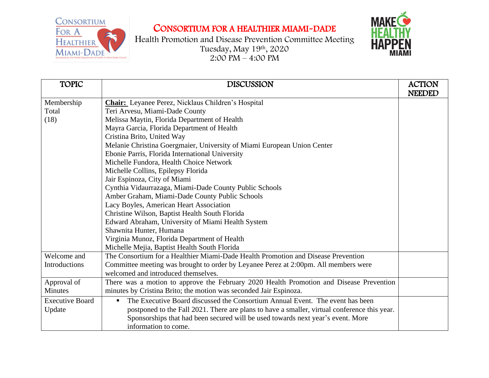## CONSORTIUM FOR A HEALTHIER MIAMI-DADE





| <b>TOPIC</b>           | <b>DISCUSSION</b>                                                                            | <b>ACTION</b> |
|------------------------|----------------------------------------------------------------------------------------------|---------------|
|                        |                                                                                              | <b>NEEDED</b> |
| Membership             | <b>Chair:</b> Leyanee Perez, Nicklaus Children's Hospital                                    |               |
| Total                  | Teri Arvesu, Miami-Dade County                                                               |               |
| (18)                   | Melissa Maytin, Florida Department of Health                                                 |               |
|                        | Mayra Garcia, Florida Department of Health                                                   |               |
|                        | Cristina Brito, United Way                                                                   |               |
|                        | Melanie Christina Goergmaier, University of Miami European Union Center                      |               |
|                        | Ebonie Parris, Florida International University                                              |               |
|                        | Michelle Fundora, Health Choice Network                                                      |               |
|                        | Michelle Collins, Epilepsy Florida                                                           |               |
|                        | Jair Espinoza, City of Miami                                                                 |               |
|                        | Cynthia Vidaurrazaga, Miami-Dade County Public Schools                                       |               |
|                        | Amber Graham, Miami-Dade County Public Schools                                               |               |
|                        | Lacy Boyles, American Heart Association                                                      |               |
|                        | Christine Wilson, Baptist Health South Florida                                               |               |
|                        | Edward Abraham, University of Miami Health System                                            |               |
|                        | Shawnita Hunter, Humana                                                                      |               |
|                        | Virginia Munoz, Florida Department of Health                                                 |               |
|                        | Michelle Mejia, Baptist Health South Florida                                                 |               |
| Welcome and            | The Consortium for a Healthier Miami-Dade Health Promotion and Disease Prevention            |               |
| Introductions          | Committee meeting was brought to order by Leyanee Perez at 2:00pm. All members were          |               |
|                        | welcomed and introduced themselves.                                                          |               |
| Approval of            | There was a motion to approve the February 2020 Health Promotion and Disease Prevention      |               |
| <b>Minutes</b>         | minutes by Cristina Brito; the motion was seconded Jair Espinoza.                            |               |
| <b>Executive Board</b> | The Executive Board discussed the Consortium Annual Event. The event has been<br>п.          |               |
| Update                 | postponed to the Fall 2021. There are plans to have a smaller, virtual conference this year. |               |
|                        | Sponsorships that had been secured will be used towards next year's event. More              |               |
|                        | information to come.                                                                         |               |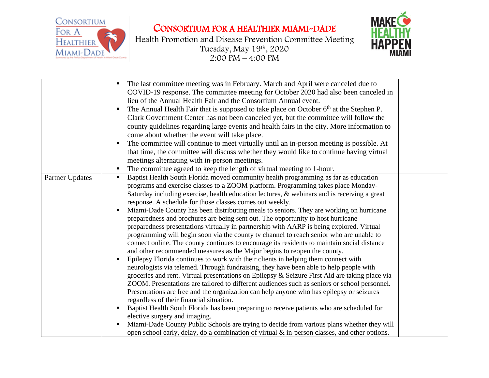

Health Promotion and Disease Prevention Committee Meeting Tuesday, May 19th , 2020 2:00 PM – 4:00 PM



|                 | The last committee meeting was in February. March and April were canceled due to<br>COVID-19 response. The committee meeting for October 2020 had also been canceled in<br>lieu of the Annual Health Fair and the Consortium Annual event.<br>The Annual Health Fair that is supposed to take place on October $6th$ at the Stephen P.<br>Clark Government Center has not been canceled yet, but the committee will follow the<br>county guidelines regarding large events and health fairs in the city. More information to<br>come about whether the event will take place.<br>The committee will continue to meet virtually until an in-person meeting is possible. At<br>that time, the committee will discuss whether they would like to continue having virtual<br>meetings alternating with in-person meetings.<br>The committee agreed to keep the length of virtual meeting to 1-hour.                                                                                                                                                                                                                                                                                                                                                                                                                                                                                                                                                                                                                                                                                                                                                                                                                                                  |  |
|-----------------|--------------------------------------------------------------------------------------------------------------------------------------------------------------------------------------------------------------------------------------------------------------------------------------------------------------------------------------------------------------------------------------------------------------------------------------------------------------------------------------------------------------------------------------------------------------------------------------------------------------------------------------------------------------------------------------------------------------------------------------------------------------------------------------------------------------------------------------------------------------------------------------------------------------------------------------------------------------------------------------------------------------------------------------------------------------------------------------------------------------------------------------------------------------------------------------------------------------------------------------------------------------------------------------------------------------------------------------------------------------------------------------------------------------------------------------------------------------------------------------------------------------------------------------------------------------------------------------------------------------------------------------------------------------------------------------------------------------------------------------------------|--|
| Partner Updates | Baptist Health South Florida moved community health programming as far as education<br>programs and exercise classes to a ZOOM platform. Programming takes place Monday-<br>Saturday including exercise, health education lectures, & webinars and is receiving a great<br>response. A schedule for those classes comes out weekly.<br>Miami-Dade County has been distributing meals to seniors. They are working on hurricane<br>preparedness and brochures are being sent out. The opportunity to host hurricane<br>preparedness presentations virtually in partnership with AARP is being explored. Virtual<br>programming will begin soon via the county tv channel to reach senior who are unable to<br>connect online. The county continues to encourage its residents to maintain social distance<br>and other recommended measures as the Major begins to reopen the county.<br>Epilepsy Florida continues to work with their clients in helping them connect with<br>neurologists via telemed. Through fundraising, they have been able to help people with<br>groceries and rent. Virtual presentations on Epilepsy & Seizure First Aid are taking place via<br>ZOOM. Presentations are tailored to different audiences such as seniors or school personnel.<br>Presentations are free and the organization can help anyone who has epilepsy or seizures<br>regardless of their financial situation.<br>Baptist Health South Florida has been preparing to receive patients who are scheduled for<br>elective surgery and imaging.<br>Miami-Dade County Public Schools are trying to decide from various plans whether they will<br>٠<br>open school early, delay, do a combination of virtual & in-person classes, and other options. |  |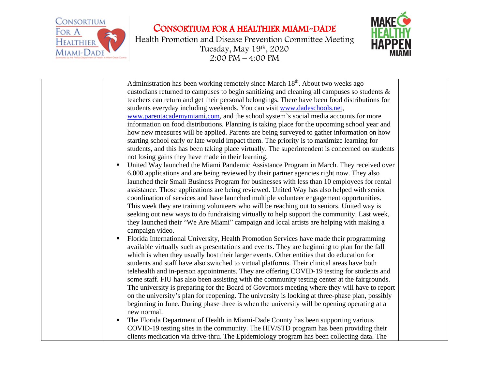

Health Promotion and Disease Prevention Committee Meeting Tuesday, May 19th , 2020 2:00 PM – 4:00 PM



| Administration has been working remotely since March 18 <sup>th</sup> . About two weeks ago     |  |
|-------------------------------------------------------------------------------------------------|--|
| custodians returned to campuses to begin sanitizing and cleaning all campuses so students $\&$  |  |
| teachers can return and get their personal belongings. There have been food distributions for   |  |
| students everyday including weekends. You can visit www.dadeschools.net,                        |  |
| www.parentacademymiami.com, and the school system's social media accounts for more              |  |
| information on food distributions. Planning is taking place for the upcoming school year and    |  |
| how new measures will be applied. Parents are being surveyed to gather information on how       |  |
| starting school early or late would impact them. The priority is to maximize learning for       |  |
| students, and this has been taking place virtually. The superintendent is concerned on students |  |
| not losing gains they have made in their learning.                                              |  |
| United Way launched the Miami Pandemic Assistance Program in March. They received over<br>п     |  |
| 6,000 applications and are being reviewed by their partner agencies right now. They also        |  |
| launched their Small Business Program for businesses with less than 10 employees for rental     |  |
| assistance. Those applications are being reviewed. United Way has also helped with senior       |  |
| coordination of services and have launched multiple volunteer engagement opportunities.         |  |
| This week they are training volunteers who will be reaching out to seniors. United way is       |  |
| seeking out new ways to do fundraising virtually to help support the community. Last week,      |  |
| they launched their "We Are Miami" campaign and local artists are helping with making a         |  |
| campaign video.                                                                                 |  |
| Florida International University, Health Promotion Services have made their programming<br>Е    |  |
| available virtually such as presentations and events. They are beginning to plan for the fall   |  |
| which is when they usually host their larger events. Other entities that do education for       |  |
| students and staff have also switched to virtual platforms. Their clinical areas have both      |  |
| telehealth and in-person appointments. They are offering COVID-19 testing for students and      |  |
|                                                                                                 |  |
| some staff. FIU has also been assisting with the community testing center at the fairgrounds.   |  |
| The university is preparing for the Board of Governors meeting where they will have to report   |  |
| on the university's plan for reopening. The university is looking at three-phase plan, possibly |  |
| beginning in June. During phase three is when the university will be opening operating at a     |  |
| new normal.                                                                                     |  |
| The Florida Department of Health in Miami-Dade County has been supporting various<br>п          |  |
| COVID-19 testing sites in the community. The HIV/STD program has been providing their           |  |
| clients medication via drive-thru. The Epidemiology program has been collecting data. The       |  |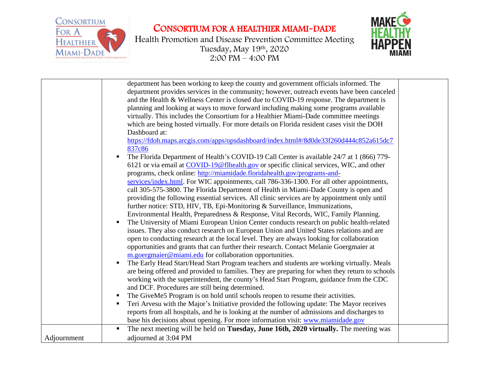



|             | department has been working to keep the county and government officials informed. The<br>department provides services in the community; however, outreach events have been canceled<br>and the Health & Wellness Center is closed due to COVID-19 response. The department is<br>planning and looking at ways to move forward including making some programs available<br>virtually. This includes the Consortium for a Healthier Miami-Dade committee meetings<br>which are being hosted virtually. For more details on Florida resident cases visit the DOH<br>Dashboard at:<br>https://fdoh.maps.arcgis.com/apps/opsdashboard/index.html#/8d0de33f260d444c852a615dc7<br>837c86<br>The Florida Department of Health's COVID-19 Call Center is available 24/7 at 1 (866) 779-<br>6121 or via email at COVID-19@flhealth.gov or specific clinical services, WIC, and other<br>programs, check online: http://miamidade.floridahealth.gov/programs-and-<br>services/index.html. For WIC appointments, call 786-336-1300. For all other appointments,<br>call 305-575-3800. The Florida Department of Health in Miami-Dade County is open and<br>providing the following essential services. All clinic services are by appointment only until<br>further notice: STD, HIV, TB, Epi-Monitoring & Surveillance, Immunizations,<br>Environmental Health, Preparedness & Response, Vital Records, WIC, Family Planning.<br>The University of Miami European Union Center conducts research on public health-related<br>issues. They also conduct research on European Union and United States relations and are<br>open to conducting research at the local level. They are always looking for collaboration<br>opportunities and grants that can further their research. Contact Melanie Goergmaier at<br>m.goergmaier@miami.edu for collaboration opportunities.<br>The Early Head Start/Head Start Program teachers and students are working virtually. Meals<br>٠<br>are being offered and provided to families. They are preparing for when they return to schools<br>working with the superintendent, the county's Head Start Program, guidance from the CDC<br>and DCF. Procedures are still being determined.<br>The GiveMe5 Program is on hold until schools reopen to resume their activities.<br>Teri Arvesu with the Major's Initiative provided the following update: The Mayor receives<br>٠<br>reports from all hospitals, and he is looking at the number of admissions and discharges to<br>base his decisions about opening. For more information visit: www.miamidade.gov<br>The next meeting will be held on Tuesday, June 16th, 2020 virtually. The meeting was<br>п |  |
|-------------|--------------------------------------------------------------------------------------------------------------------------------------------------------------------------------------------------------------------------------------------------------------------------------------------------------------------------------------------------------------------------------------------------------------------------------------------------------------------------------------------------------------------------------------------------------------------------------------------------------------------------------------------------------------------------------------------------------------------------------------------------------------------------------------------------------------------------------------------------------------------------------------------------------------------------------------------------------------------------------------------------------------------------------------------------------------------------------------------------------------------------------------------------------------------------------------------------------------------------------------------------------------------------------------------------------------------------------------------------------------------------------------------------------------------------------------------------------------------------------------------------------------------------------------------------------------------------------------------------------------------------------------------------------------------------------------------------------------------------------------------------------------------------------------------------------------------------------------------------------------------------------------------------------------------------------------------------------------------------------------------------------------------------------------------------------------------------------------------------------------------------------------------------------------------------------------------------------------------------------------------------------------------------------------------------------------------------------------------------------------------------------------------------------------------------------------------------------------------------------------------------------------------------------------------------------------------------------------------------------------------------------------------------------------------------------------|--|
| Adjournment | adjourned at 3:04 PM                                                                                                                                                                                                                                                                                                                                                                                                                                                                                                                                                                                                                                                                                                                                                                                                                                                                                                                                                                                                                                                                                                                                                                                                                                                                                                                                                                                                                                                                                                                                                                                                                                                                                                                                                                                                                                                                                                                                                                                                                                                                                                                                                                                                                                                                                                                                                                                                                                                                                                                                                                                                                                                                 |  |
|             |                                                                                                                                                                                                                                                                                                                                                                                                                                                                                                                                                                                                                                                                                                                                                                                                                                                                                                                                                                                                                                                                                                                                                                                                                                                                                                                                                                                                                                                                                                                                                                                                                                                                                                                                                                                                                                                                                                                                                                                                                                                                                                                                                                                                                                                                                                                                                                                                                                                                                                                                                                                                                                                                                      |  |